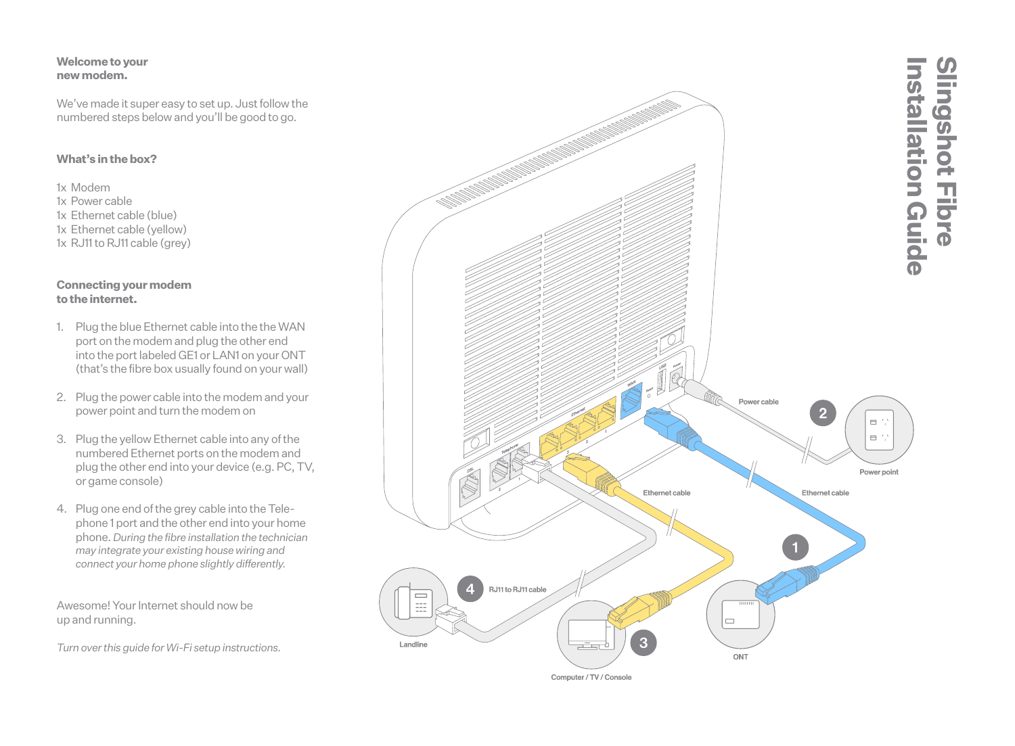#### **Welcome to your new modem.**

We've made it super easy to set up. Just follow the numbered steps below and you'll be good to go.

# **What's in the box?**

1x Modem 1x Power cable 1x Ethernet cable (blue) 1x Ethernet cable (yellow)  $1x$  R.J11 to R.J11 cable (grey)

#### **Connecting your modem to the internet.**

- 1. Plug the blue Ethernet cable into the the WAN port on the modem and plug the other end into the port labeled GE1 or LAN1 on your ONT (that's the fibre box usually found on your wall)
- 2. Plug the power cable into the modem and your power point and turn the modem on
- 3. Plug the yellow Ethernet cable into any of the numbered Ethernet ports on the modem and plug the other end into your device (e.g. PC, TV, or game console)
- 4. Plug one end of the grey cable into the Tele phone 1 port and the other end into your home phone. *During the fibre installation the technician may integrate your existing house wiring and connect your home phone slightly differently.*

Awesome! Your Internet should now be up and running.

*Turn over this guide for Wi-Fi setup instructions.*